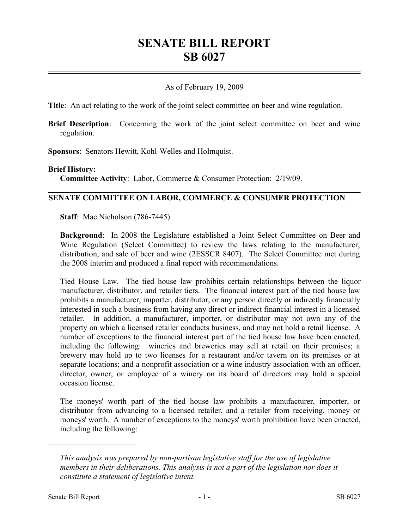## **SENATE BILL REPORT SB 6027**

## As of February 19, 2009

**Title**: An act relating to the work of the joint select committee on beer and wine regulation.

**Brief Description**: Concerning the work of the joint select committee on beer and wine regulation.

**Sponsors**: Senators Hewitt, Kohl-Welles and Holmquist.

## **Brief History:**

**Committee Activity**: Labor, Commerce & Consumer Protection: 2/19/09.

## **SENATE COMMITTEE ON LABOR, COMMERCE & CONSUMER PROTECTION**

**Staff**: Mac Nicholson (786-7445)

**Background**: In 2008 the Legislature established a Joint Select Committee on Beer and Wine Regulation (Select Committee) to review the laws relating to the manufacturer, distribution, and sale of beer and wine (2ESSCR 8407). The Select Committee met during the 2008 interim and produced a final report with recommendations.

Tied House Law. The tied house law prohibits certain relationships between the liquor manufacturer, distributor, and retailer tiers. The financial interest part of the tied house law prohibits a manufacturer, importer, distributor, or any person directly or indirectly financially interested in such a business from having any direct or indirect financial interest in a licensed retailer. In addition, a manufacturer, importer, or distributor may not own any of the property on which a licensed retailer conducts business, and may not hold a retail license. A number of exceptions to the financial interest part of the tied house law have been enacted, including the following: wineries and breweries may sell at retail on their premises; a brewery may hold up to two licenses for a restaurant and/or tavern on its premises or at separate locations; and a nonprofit association or a wine industry association with an officer, director, owner, or employee of a winery on its board of directors may hold a special occasion license.

The moneys' worth part of the tied house law prohibits a manufacturer, importer, or distributor from advancing to a licensed retailer, and a retailer from receiving, money or moneys' worth. A number of exceptions to the moneys' worth prohibition have been enacted, including the following:

––––––––––––––––––––––

*This analysis was prepared by non-partisan legislative staff for the use of legislative members in their deliberations. This analysis is not a part of the legislation nor does it constitute a statement of legislative intent.*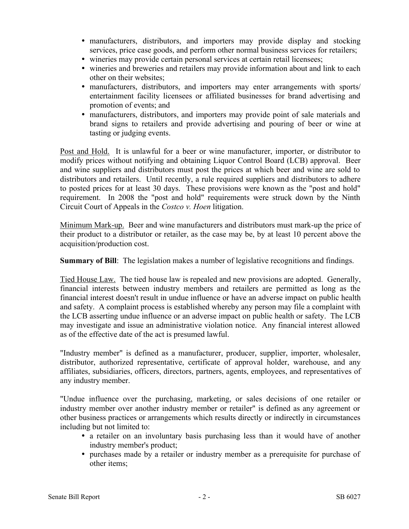- � manufacturers, distributors, and importers may provide display and stocking services, price case goods, and perform other normal business services for retailers;
- � wineries may provide certain personal services at certain retail licensees;
- � wineries and breweries and retailers may provide information about and link to each other on their websites;
- � manufacturers, distributors, and importers may enter arrangements with sports/ entertainment facility licensees or affiliated businesses for brand advertising and promotion of events; and
- � manufacturers, distributors, and importers may provide point of sale materials and brand signs to retailers and provide advertising and pouring of beer or wine at tasting or judging events.

Post and Hold. It is unlawful for a beer or wine manufacturer, importer, or distributor to modify prices without notifying and obtaining Liquor Control Board (LCB) approval. Beer and wine suppliers and distributors must post the prices at which beer and wine are sold to distributors and retailers. Until recently, a rule required suppliers and distributors to adhere to posted prices for at least 30 days. These provisions were known as the "post and hold" requirement. In 2008 the "post and hold" requirements were struck down by the Ninth Circuit Court of Appeals in the *Costco v. Hoen* litigation.

Minimum Mark-up. Beer and wine manufacturers and distributors must mark-up the price of their product to a distributor or retailer, as the case may be, by at least 10 percent above the acquisition/production cost.

**Summary of Bill**: The legislation makes a number of legislative recognitions and findings.

Tied House Law. The tied house law is repealed and new provisions are adopted. Generally, financial interests between industry members and retailers are permitted as long as the financial interest doesn't result in undue influence or have an adverse impact on public health and safety. A complaint process is established whereby any person may file a complaint with the LCB asserting undue influence or an adverse impact on public health or safety. The LCB may investigate and issue an administrative violation notice. Any financial interest allowed as of the effective date of the act is presumed lawful.

"Industry member" is defined as a manufacturer, producer, supplier, importer, wholesaler, distributor, authorized representative, certificate of approval holder, warehouse, and any affiliates, subsidiaries, officers, directors, partners, agents, employees, and representatives of any industry member.

"Undue influence over the purchasing, marketing, or sales decisions of one retailer or industry member over another industry member or retailer" is defined as any agreement or other business practices or arrangements which results directly or indirectly in circumstances including but not limited to:

- a retailer on an involuntary basis purchasing less than it would have of another industry member's product;
- � purchases made by a retailer or industry member as a prerequisite for purchase of other items;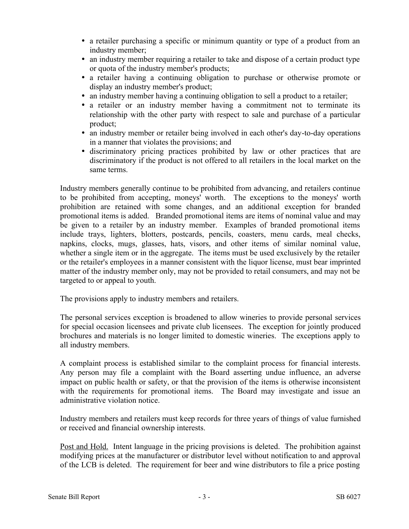- a retailer purchasing a specific or minimum quantity or type of a product from an industry member;
- an industry member requiring a retailer to take and dispose of a certain product type or quota of the industry member's products;
- � a retailer having a continuing obligation to purchase or otherwise promote or display an industry member's product;
- an industry member having a continuing obligation to sell a product to a retailer;
- a retailer or an industry member having a commitment not to terminate its relationship with the other party with respect to sale and purchase of a particular product;
- an industry member or retailer being involved in each other's day-to-day operations in a manner that violates the provisions; and
- � discriminatory pricing practices prohibited by law or other practices that are discriminatory if the product is not offered to all retailers in the local market on the same terms.

Industry members generally continue to be prohibited from advancing, and retailers continue to be prohibited from accepting, moneys' worth. The exceptions to the moneys' worth prohibition are retained with some changes, and an additional exception for branded promotional items is added. Branded promotional items are items of nominal value and may be given to a retailer by an industry member. Examples of branded promotional items include trays, lighters, blotters, postcards, pencils, coasters, menu cards, meal checks, napkins, clocks, mugs, glasses, hats, visors, and other items of similar nominal value, whether a single item or in the aggregate. The items must be used exclusively by the retailer or the retailer's employees in a manner consistent with the liquor license, must bear imprinted matter of the industry member only, may not be provided to retail consumers, and may not be targeted to or appeal to youth.

The provisions apply to industry members and retailers.

The personal services exception is broadened to allow wineries to provide personal services for special occasion licensees and private club licensees. The exception for jointly produced brochures and materials is no longer limited to domestic wineries. The exceptions apply to all industry members.

A complaint process is established similar to the complaint process for financial interests. Any person may file a complaint with the Board asserting undue influence, an adverse impact on public health or safety, or that the provision of the items is otherwise inconsistent with the requirements for promotional items. The Board may investigate and issue an administrative violation notice.

Industry members and retailers must keep records for three years of things of value furnished or received and financial ownership interests.

Post and Hold. Intent language in the pricing provisions is deleted. The prohibition against modifying prices at the manufacturer or distributor level without notification to and approval of the LCB is deleted. The requirement for beer and wine distributors to file a price posting